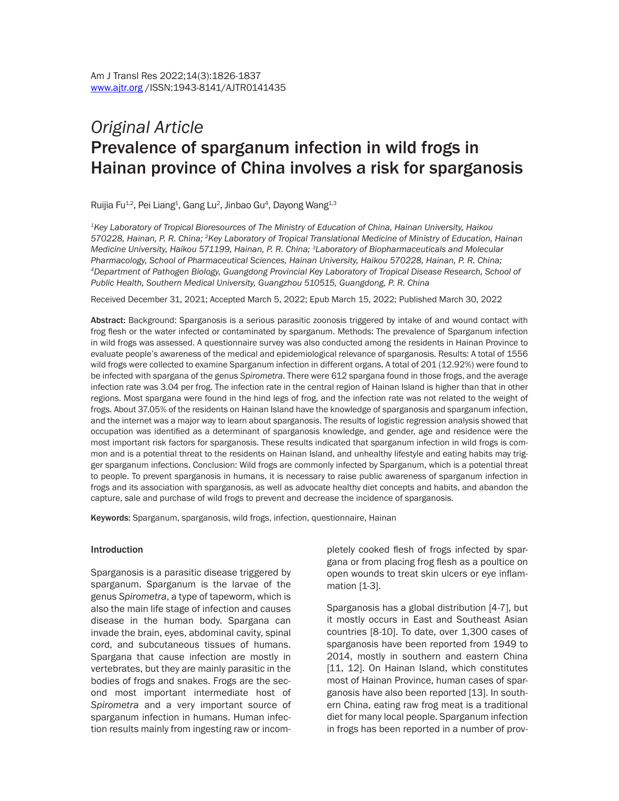# *Original Article* Prevalence of sparganum infection in wild frogs in Hainan province of China involves a risk for sparganosis

Ruijia Fu<sup>1,2</sup>, Pei Liang<sup>1</sup>, Gang Lu<sup>2</sup>, Jinbao Gu<sup>4</sup>, Dayong Wang<sup>1,3</sup>

*1Key Laboratory of Tropical Bioresources of The Ministry of Education of China, Hainan University, Haikou 570228, Hainan, P. R. China; 2Key Laboratory of Tropical Translational Medicine of Ministry of Education, Hainan Medicine University, Haikou 571199, Hainan, P. R. China; 3Laboratory of Biopharmaceuticals and Molecular Pharmacology, School of Pharmaceutical Sciences, Hainan University, Haikou 570228, Hainan, P. R. China; 4Department of Pathogen Biology, Guangdong Provincial Key Laboratory of Tropical Disease Research, School of Public Health, Southern Medical University, Guangzhou 510515, Guangdong, P. R. China*

Received December 31, 2021; Accepted March 5, 2022; Epub March 15, 2022; Published March 30, 2022

Abstract: Background: Sparganosis is a serious parasitic zoonosis triggered by intake of and wound contact with frog flesh or the water infected or contaminated by sparganum. Methods: The prevalence of Sparganum infection in wild frogs was assessed. A questionnaire survey was also conducted among the residents in Hainan Province to evaluate people's awareness of the medical and epidemiological relevance of sparganosis. Results: A total of 1556 wild frogs were collected to examine Sparganum infection in different organs. A total of 201 (12.92%) were found to be infected with spargana of the genus *Spirometra*. There were 612 spargana found in those frogs, and the average infection rate was 3.04 per frog. The infection rate in the central region of Hainan Island is higher than that in other regions. Most spargana were found in the hind legs of frog, and the infection rate was not related to the weight of frogs. About 37.05% of the residents on Hainan Island have the knowledge of sparganosis and sparganum infection, and the internet was a major way to learn about sparganosis. The results of logistic regression analysis showed that occupation was identified as a determinant of sparganosis knowledge, and gender, age and residence were the most important risk factors for sparganosis. These results indicated that sparganum infection in wild frogs is common and is a potential threat to the residents on Hainan Island, and unhealthy lifestyle and eating habits may trigger sparganum infections. Conclusion: Wild frogs are commonly infected by Sparganum, which is a potential threat to people. To prevent sparganosis in humans, it is necessary to raise public awareness of sparganum infection in frogs and its association with sparganosis, as well as advocate healthy diet concepts and habits, and abandon the capture, sale and purchase of wild frogs to prevent and decrease the incidence of sparganosis.

Keywords: Sparganum, sparganosis, wild frogs, infection, questionnaire, Hainan

#### Introduction

Sparganosis is a parasitic disease triggered by sparganum. Sparganum is the larvae of the genus *Spirometra*, a type of tapeworm, which is also the main life stage of infection and causes disease in the human body. Spargana can invade the brain, eyes, abdominal cavity, spinal cord, and subcutaneous tissues of humans. Spargana that cause infection are mostly in vertebrates, but they are mainly parasitic in the bodies of frogs and snakes. Frogs are the second most important intermediate host of *Spirometra* and a very important source of sparganum infection in humans. Human infection results mainly from ingesting raw or incom-

pletely cooked flesh of frogs infected by spargana or from placing frog flesh as a poultice on open wounds to treat skin ulcers or eye inflammation [1-3].

Sparganosis has a global distribution [4-7], but it mostly occurs in East and Southeast Asian countries [8-10]. To date, over 1,300 cases of sparganosis have been reported from 1949 to 2014, mostly in southern and eastern China [11, 12]. On Hainan Island, which constitutes most of Hainan Province, human cases of sparganosis have also been reported [13]. In southern China, eating raw frog meat is a traditional diet for many local people. Sparganum infection in frogs has been reported in a number of prov-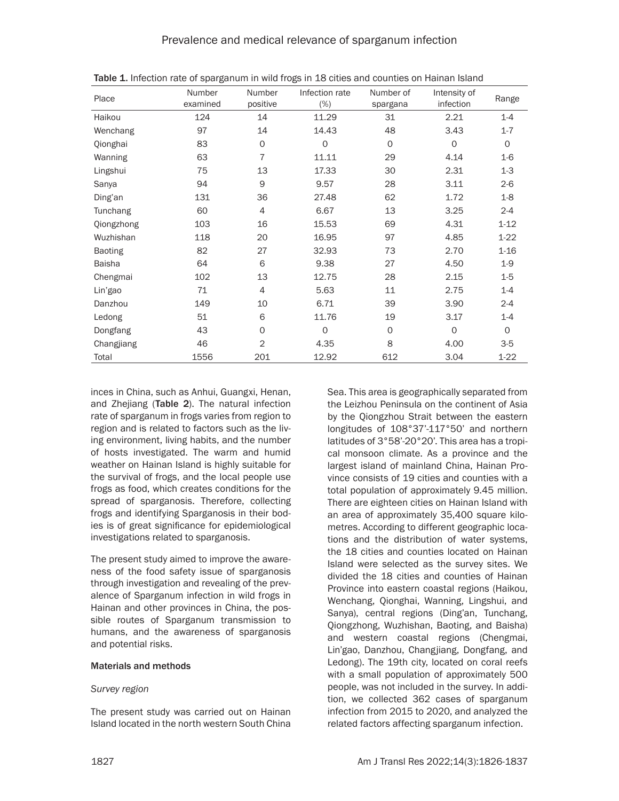| Place          | Number<br>examined | Number<br>positive | Infection rate<br>$(\%)$ | Number of<br>spargana | Intensity of<br>infection | Range    |
|----------------|--------------------|--------------------|--------------------------|-----------------------|---------------------------|----------|
| Haikou         | 124                | 14                 | 11.29                    | 31                    | 2.21                      | $1 - 4$  |
| Wenchang       | 97                 | 14                 | 14.43                    | 48                    | 3.43                      | $1 - 7$  |
| Qionghai       | 83                 | 0                  | $\mathbf 0$              | 0                     | $\mathbf 0$               | $\circ$  |
| Wanning        | 63                 | $\overline{7}$     | 11.11                    | 29                    | 4.14                      | $1-6$    |
| Lingshui       | 75                 | 13                 | 17.33                    | 30                    | 2.31                      | $1-3$    |
| Sanya          | 94                 | 9                  | 9.57                     | 28                    | 3.11                      | $2-6$    |
| Ding'an        | 131                | 36                 | 27.48                    | 62                    | 1.72                      | $1 - 8$  |
| Tunchang       | 60                 | $\overline{4}$     | 6.67                     | 13                    | 3.25                      | $2 - 4$  |
| Qiongzhong     | 103                | 16                 | 15.53                    | 69                    | 4.31                      | $1 - 12$ |
| Wuzhishan      | 118                | 20                 | 16.95                    | 97                    | 4.85                      | $1 - 22$ |
| <b>Baoting</b> | 82                 | 27                 | 32.93                    | 73                    | 2.70                      | $1 - 16$ |
| <b>Baisha</b>  | 64                 | 6                  | 9.38                     | 27                    | 4.50                      | $1-9$    |
| Chengmai       | 102                | 13                 | 12.75                    | 28                    | 2.15                      | $1-5$    |
| Lin'gao        | 71                 | $\overline{4}$     | 5.63                     | 11                    | 2.75                      | $1 - 4$  |
| Danzhou        | 149                | 10                 | 6.71                     | 39                    | 3.90                      | $2 - 4$  |
| Ledong         | 51                 | 6                  | 11.76                    | 19                    | 3.17                      | $1 - 4$  |
| Dongfang       | 43                 | $\Omega$           | $\mathbf 0$              | 0                     | $\mathbf 0$               | $\Omega$ |
| Changjiang     | 46                 | $\overline{2}$     | 4.35                     | 8                     | 4.00                      | $3-5$    |
| Total          | 1556               | 201                | 12.92                    | 612                   | 3.04                      | $1 - 22$ |

Table 1. Infection rate of sparganum in wild frogs in 18 cities and counties on Hainan Island

inces in China, such as Anhui, Guangxi, Henan, and Zhejiang (Table 2). The natural infection rate of sparganum in frogs varies from region to region and is related to factors such as the living environment, living habits, and the number of hosts investigated. The warm and humid weather on Hainan Island is highly suitable for the survival of frogs, and the local people use frogs as food, which creates conditions for the spread of sparganosis. Therefore, collecting frogs and identifying Sparganosis in their bodies is of great significance for epidemiological investigations related to sparganosis.

The present study aimed to improve the awareness of the food safety issue of sparganosis through investigation and revealing of the prevalence of Sparganum infection in wild frogs in Hainan and other provinces in China, the possible routes of Sparganum transmission to humans, and the awareness of sparganosis and potential risks.

# Materials and methods

# *Survey region*

The present study was carried out on Hainan Island located in the north western South China

Sea. This area is geographically separated from the Leizhou Peninsula on the continent of Asia by the Qiongzhou Strait between the eastern longitudes of 108°37'-117°50' and northern latitudes of 3°58'-20°20'. This area has a tropical monsoon climate. As a province and the largest island of mainland China, Hainan Province consists of 19 cities and counties with a total population of approximately 9.45 million. There are eighteen cities on Hainan Island with an area of approximately 35,400 square kilometres. According to different geographic locations and the distribution of water systems, the 18 cities and counties located on Hainan Island were selected as the survey sites. We divided the 18 cities and counties of Hainan Province into eastern coastal regions (Haikou, Wenchang, Qionghai, Wanning, Lingshui, and Sanya), central regions (Ding'an, Tunchang, Qiongzhong, Wuzhishan, Baoting, and Baisha) and western coastal regions (Chengmai, Lin'gao, Danzhou, Changjiang, Dongfang, and Ledong). The 19th city, located on coral reefs with a small population of approximately 500 people, was not included in the survey. In addition, we collected 362 cases of sparganum infection from 2015 to 2020, and analyzed the related factors affecting sparganum infection.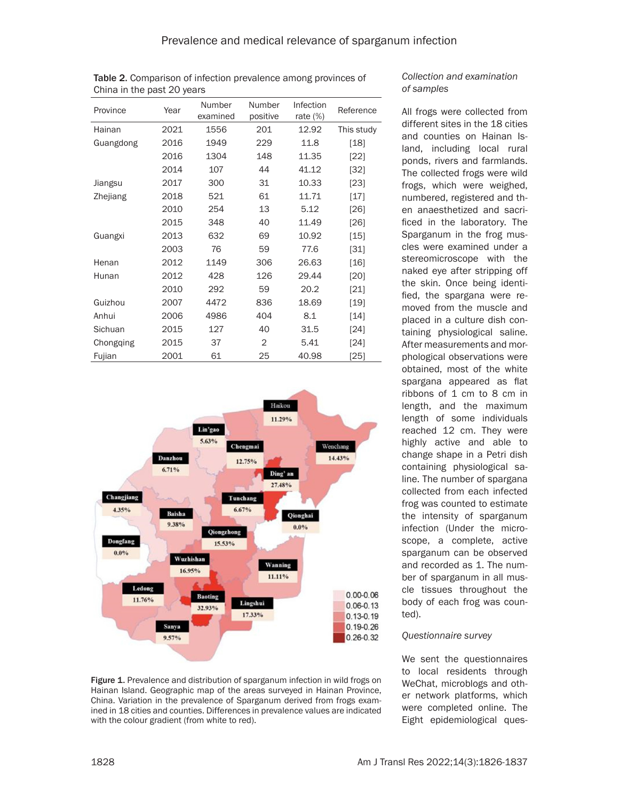| Province  | Year | Number<br>examined | Number<br>positive | Infection<br>rate $(\%)$ | Reference  |
|-----------|------|--------------------|--------------------|--------------------------|------------|
| Hainan    | 2021 | 1556               | 201                | 12.92                    | This study |
| Guangdong | 2016 | 1949               | 229                | 11.8                     | [18]       |
|           | 2016 | 1304               | 148                | 11.35                    | $[22]$     |
|           | 2014 | 107                | 44                 | 41.12                    | [32]       |
| Jiangsu   | 2017 | 300                | 31                 | 10.33                    | $[23]$     |
| Zhejiang  | 2018 | 521                | 61                 | 11.71                    | [17]       |
|           | 2010 | 254                | 13                 | 5.12                     | [26]       |
|           | 2015 | 348                | 40                 | 11.49                    | [26]       |
| Guangxi   | 2013 | 632                | 69                 | 10.92                    | [15]       |
|           | 2003 | 76                 | 59                 | 77.6                     | [31]       |
| Henan     | 2012 | 1149               | 306                | 26.63                    | $[16]$     |
| Hunan     | 2012 | 428                | 126                | 29.44                    | [20]       |
|           | 2010 | 292                | 59                 | 20.2                     | $[21]$     |
| Guizhou   | 2007 | 4472               | 836                | 18.69                    | [19]       |
| Anhui     | 2006 | 4986               | 404                | 8.1                      | [14]       |
| Sichuan   | 2015 | 127                | 40                 | 31.5                     | [24]       |
| Chongging | 2015 | 37                 | 2                  | 5.41                     | [24]       |
| Fujian    | 2001 | 61                 | 25                 | 40.98                    | $[25]$     |

Table 2. Comparison of infection prevalence among provinces of

China in the past 20 years



#### Figure 1. Prevalence and distribution of sparganum infection in wild frogs on Hainan Island. Geographic map of the areas surveyed in Hainan Province, China. Variation in the prevalence of Sparganum derived from frogs examined in 18 cities and counties. Differences in prevalence values are indicated with the colour gradient (from white to red).

# *Collection and examination of samples*

All frogs were collected from different sites in the 18 cities and counties on Hainan Island, including local rural ponds, rivers and farmlands. The collected frogs were wild frogs, which were weighed, numbered, registered and then anaesthetized and sacrificed in the laboratory. The Sparganum in the frog muscles were examined under a stereomicroscope with the naked eye after stripping off the skin. Once being identified, the spargana were removed from the muscle and placed in a culture dish containing physiological saline. After measurements and morphological observations were obtained, most of the white spargana appeared as flat ribbons of 1 cm to 8 cm in length, and the maximum length of some individuals reached 12 cm. They were highly active and able to change shape in a Petri dish containing physiological saline. The number of spargana collected from each infected frog was counted to estimate the intensity of sparganum infection (Under the microscope, a complete, active sparganum can be observed and recorded as 1. The number of sparganum in all muscle tissues throughout the body of each frog was counted).

# *Questionnaire survey*

We sent the questionnaires to local residents through WeChat, microblogs and other network platforms, which were completed online. The Eight epidemiological ques-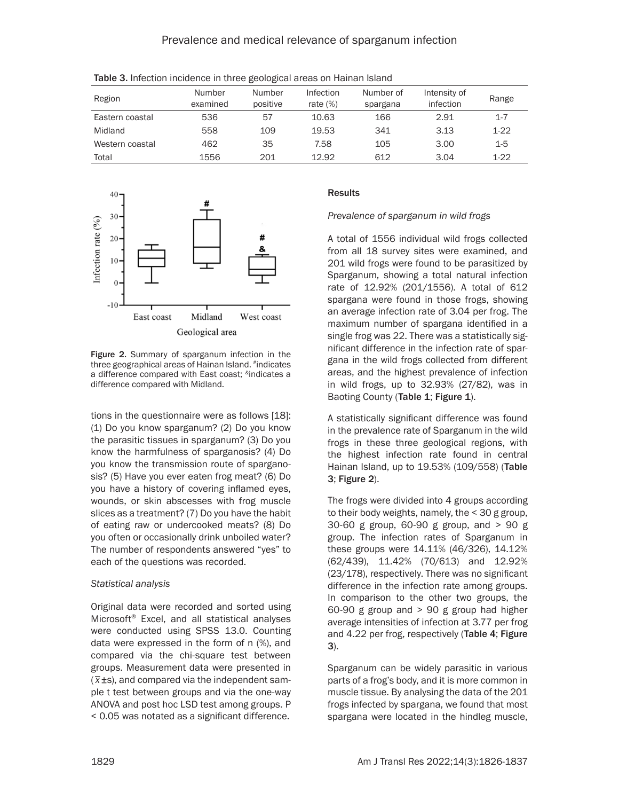| Region          | Number<br>examined | Number<br>positive | Infection<br>rate $(\%)$ | Number of<br>spargana | Intensity of<br>infection | Range   |
|-----------------|--------------------|--------------------|--------------------------|-----------------------|---------------------------|---------|
| Eastern coastal | 536                | 57                 | 10.63                    | 166                   | 2.91                      | $1 - 7$ |
| Midland         | 558                | 109                | 19.53                    | 341                   | 3.13                      | $1-22$  |
| Western coastal | 462                | 35                 | 7.58                     | 105                   | 3.00                      | $1 - 5$ |
| Total           | 1556               | 201                | 12.92                    | 612                   | 3.04                      | $1-22$  |

Table 3. Infection incidence in three geological areas on Hainan Island



Figure 2. Summary of sparganum infection in the three geographical areas of Hainan Island. #indicates a difference compared with East coast; <sup>&</sup>indicates a difference compared with Midland.

tions in the questionnaire were as follows [18]: (1) Do you know sparganum? (2) Do you know the parasitic tissues in sparganum? (3) Do you know the harmfulness of sparganosis? (4) Do you know the transmission route of sparganosis? (5) Have you ever eaten frog meat? (6) Do you have a history of covering inflamed eyes, wounds, or skin abscesses with frog muscle slices as a treatment? (7) Do you have the habit of eating raw or undercooked meats? (8) Do you often or occasionally drink unboiled water? The number of respondents answered "yes" to each of the questions was recorded.

# *Statistical analysis*

Original data were recorded and sorted using Microsoft® Excel, and all statistical analyses were conducted using SPSS 13.0. Counting data were expressed in the form of n (%), and compared via the chi-square test between groups. Measurement data were presented in *\_* ( *x*±s), and compared via the independent sample t test between groups and via the one-way ANOVA and post hoc LSD test among groups. P < 0.05 was notated as a significant difference.

# Results

*Prevalence of sparganum in wild frogs* 

A total of 1556 individual wild frogs collected from all 18 survey sites were examined, and 201 wild frogs were found to be parasitized by Sparganum*,* showing a total natural infection rate of 12.92% (201/1556). A total of 612 spargana were found in those frogs, showing an average infection rate of 3.04 per frog. The maximum number of spargana identified in a single frog was 22. There was a statistically significant difference in the infection rate of spargana in the wild frogs collected from different areas, and the highest prevalence of infection in wild frogs, up to 32.93% (27/82), was in Baoting County (Table 1; Figure 1).

A statistically significant difference was found in the prevalence rate of Sparganum in the wild frogs in these three geological regions, with the highest infection rate found in central Hainan Island, up to 19.53% (109/558) (Table 3; Figure 2).

The frogs were divided into 4 groups according to their body weights, namely, the < 30 g group, 30-60 g group, 60-90 g group, and > 90 g group. The infection rates of Sparganum in these groups were 14.11% (46/326), 14.12% (62/439), 11.42% (70/613) and 12.92% (23/178), respectively. There was no significant difference in the infection rate among groups. In comparison to the other two groups, the 60-90 g group and > 90 g group had higher average intensities of infection at 3.77 per frog and 4.22 per frog, respectively (Table 4; Figure 3).

Sparganum can be widely parasitic in various parts of a frog's body, and it is more common in muscle tissue. By analysing the data of the 201 frogs infected by spargana, we found that most spargana were located in the hindleg muscle,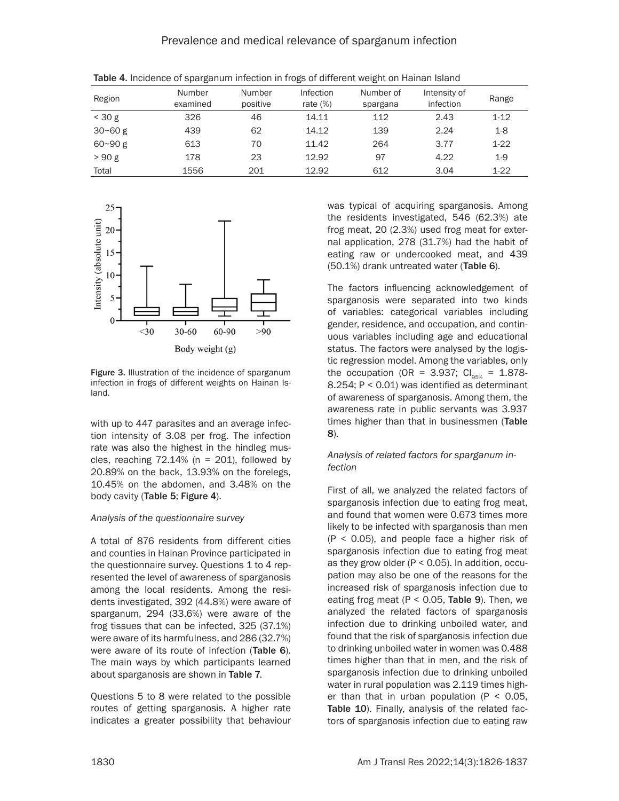Prevalence and medical relevance of sparganum infection

| Region      | Number<br>examined | Number<br>positive | Infection<br>rate $(\%)$ | Number of<br>spargana | Intensity of<br>infection | Range    |
|-------------|--------------------|--------------------|--------------------------|-----------------------|---------------------------|----------|
| $<$ 30 g    | 326                | 46                 | 14.11                    | 112                   | 2.43                      | $1 - 12$ |
| $30 - 60g$  | 439                | 62                 | 14.12                    | 139                   | 2.24                      | $1-8$    |
| $60 - 90 g$ | 613                | 70                 | 11.42                    | 264                   | 3.77                      | $1-22$   |
| >90 g       | 178                | 23                 | 12.92                    | 97                    | 4.22                      | $1-9$    |
| Total       | 1556               | 201                | 12.92                    | 612                   | 3.04                      | $1 - 22$ |

Table 4. Incidence of sparganum infection in frogs of different weight on Hainan Island



Figure 3. Illustration of the incidence of sparganum infection in frogs of different weights on Hainan Island.

with up to 447 parasites and an average infection intensity of 3.08 per frog. The infection rate was also the highest in the hindleg muscles, reaching  $72.14\%$  (n = 201), followed by 20.89% on the back, 13.93% on the forelegs, 10.45% on the abdomen, and 3.48% on the body cavity (Table 5; Figure 4).

# *Analysis of the questionnaire survey*

A total of 876 residents from different cities and counties in Hainan Province participated in the questionnaire survey. Questions 1 to 4 represented the level of awareness of sparganosis among the local residents. Among the residents investigated, 392 (44.8%) were aware of sparganum, 294 (33.6%) were aware of the frog tissues that can be infected, 325 (37.1%) were aware of its harmfulness, and 286 (32.7%) were aware of its route of infection (Table 6). The main ways by which participants learned about sparganosis are shown in Table 7.

Questions 5 to 8 were related to the possible routes of getting sparganosis. A higher rate indicates a greater possibility that behaviour was typical of acquiring sparganosis. Among the residents investigated, 546 (62.3%) ate frog meat, 20 (2.3%) used frog meat for external application, 278 (31.7%) had the habit of eating raw or undercooked meat, and 439 (50.1%) drank untreated water (Table 6).

The factors influencing acknowledgement of sparganosis were separated into two kinds of variables: categorical variables including gender, residence, and occupation, and continuous variables including age and educational status. The factors were analysed by the logistic regression model. Among the variables, only the occupation (OR = 3.937;  $Cl_{\text{new}} = 1.878$ -8.254; P < 0.01) was identified as determinant of awareness of sparganosis. Among them, the awareness rate in public servants was 3.937 times higher than that in businessmen (Table 8).

# *Analysis of related factors for sparganum infection*

First of all, we analyzed the related factors of sparganosis infection due to eating frog meat, and found that women were 0.673 times more likely to be infected with sparganosis than men (P < 0.05), and people face a higher risk of sparganosis infection due to eating frog meat as they grow older ( $P < 0.05$ ). In addition, occupation may also be one of the reasons for the increased risk of sparganosis infection due to eating frog meat ( $P < 0.05$ , Table 9). Then, we analyzed the related factors of sparganosis infection due to drinking unboiled water, and found that the risk of sparganosis infection due to drinking unboiled water in women was 0.488 times higher than that in men, and the risk of sparganosis infection due to drinking unboiled water in rural population was 2.119 times higher than that in urban population  $(P < 0.05$ . Table 10). Finally, analysis of the related factors of sparganosis infection due to eating raw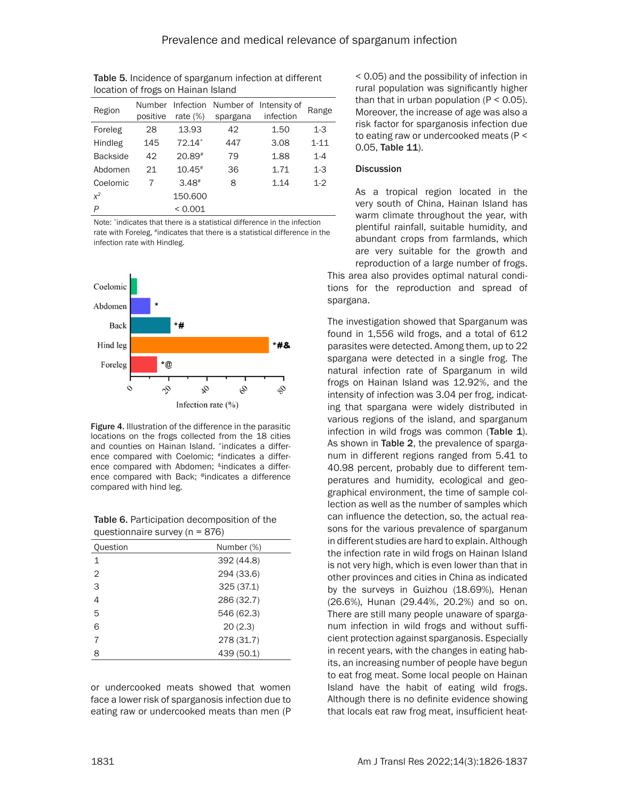| iocation of hogs on Hallian island |                    |                          |                                    |           |          |  |  |  |
|------------------------------------|--------------------|--------------------------|------------------------------------|-----------|----------|--|--|--|
| Region                             | Number<br>positive | Infection<br>rate $(\%)$ | Number of Intensity of<br>spargana | infection | Range    |  |  |  |
| Foreleg                            | 28                 | 13.93                    | 42                                 | 1.50      | $1 - 3$  |  |  |  |
| Hindleg                            | 145                | $72.14*$                 | 447                                | 3.08      | $1 - 11$ |  |  |  |
| <b>Backside</b>                    | 42                 | 20.89#                   | 79                                 | 1.88      | $1 - 4$  |  |  |  |
| Abdomen                            | 21                 | $10.45*$                 | 36                                 | 1.71      | $1-3$    |  |  |  |
| Coelomic                           | 7                  | $3.48*$                  | 8                                  | 1.14      | $1 - 2$  |  |  |  |
| $x^2$                              |                    | 150,600                  |                                    |           |          |  |  |  |
| P                                  |                    | < 0.001                  |                                    |           |          |  |  |  |

Table 5. Incidence of sparganum infection at different location of frogs on Hainan Island

Note: \*indicates that there is a statistical difference in the infection rate with Foreleg, #indicates that there is a statistical difference in the infection rate with Hindleg.



Figure 4. Illustration of the difference in the parasitic locations on the frogs collected from the 18 cities and counties on Hainan Island. \*indicates a difference compared with Coelomic; #indicates a difference compared with Abdomen; <sup>&</sup>indicates a difference compared with Back; @indicates a difference compared with hind leg.

| $y$ questioningue survey $y_1 - 0$ |            |  |  |  |  |
|------------------------------------|------------|--|--|--|--|
| <b>Question</b>                    | Number (%) |  |  |  |  |
|                                    | 392 (44.8) |  |  |  |  |
| 2                                  | 294 (33.6) |  |  |  |  |
| 3                                  | 325(37.1)  |  |  |  |  |
|                                    | 286 (32.7) |  |  |  |  |
|                                    |            |  |  |  |  |

 546 (62.3) 6 20 (2.3) 278 (31.7) 439 (50.1)

Table 6. Participation decomposition of the  $q$ uestionnaire survey (n = 876)

or undercooked meats showed that women face a lower risk of sparganosis infection due to eating raw or undercooked meats than men (P < 0.05) and the possibility of infection in rural population was significantly higher than that in urban population  $(P < 0.05)$ . Moreover, the increase of age was also a risk factor for sparganosis infection due to eating raw or undercooked meats (P < 0.05, Table 11).

# **Discussion**

As a tropical region located in the very south of China, Hainan Island has warm climate throughout the year, with plentiful rainfall, suitable humidity, and abundant crops from farmlands, which are very suitable for the growth and reproduction of a large number of frogs.

This area also provides optimal natural conditions for the reproduction and spread of spargana.

The investigation showed that Sparganum was found in 1,556 wild frogs, and a total of 612 parasites were detected. Among them, up to 22 spargana were detected in a single frog. The natural infection rate of Sparganum in wild frogs on Hainan Island was 12.92%, and the intensity of infection was 3.04 per frog, indicating that spargana were widely distributed in various regions of the island, and sparganum infection in wild frogs was common (Table 1). As shown in Table 2, the prevalence of sparganum in different regions ranged from 5.41 to 40.98 percent, probably due to different temperatures and humidity, ecological and geographical environment, the time of sample collection as well as the number of samples which can influence the detection, so, the actual reasons for the various prevalence of sparganum in different studies are hard to explain. Although the infection rate in wild frogs on Hainan Island is not very high, which is even lower than that in other provinces and cities in China as indicated by the surveys in Guizhou (18.69%), Henan (26.6%), Hunan (29.44%, 20.2%) and so on. There are still many people unaware of sparganum infection in wild frogs and without sufficient protection against sparganosis. Especially in recent years, with the changes in eating habits, an increasing number of people have begun to eat frog meat. Some local people on Hainan Island have the habit of eating wild frogs. Although there is no definite evidence showing that locals eat raw frog meat, insufficient heat-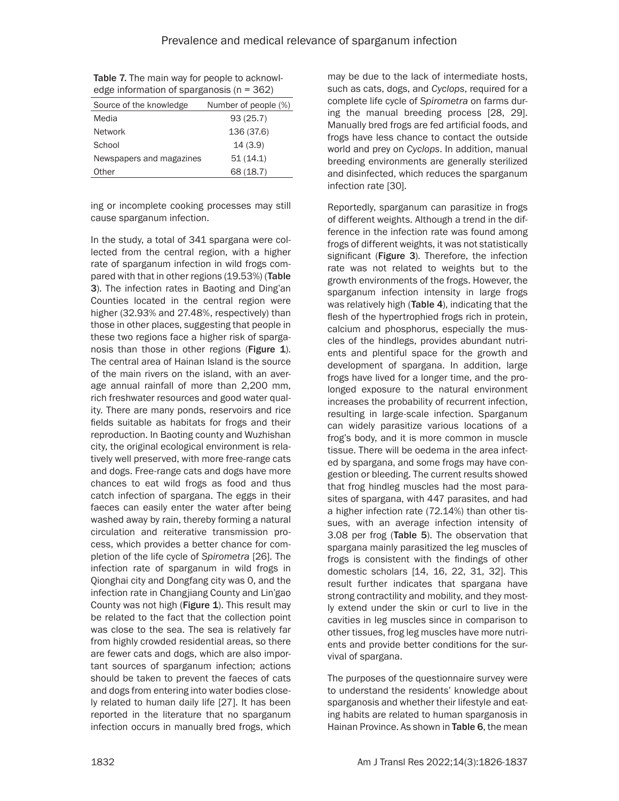| Source of the knowledge  | Number of people (%) |
|--------------------------|----------------------|
| Media                    | 93(25.7)             |
| <b>Network</b>           | 136 (37.6)           |
| School                   | 14(3.9)              |
| Newspapers and magazines | 51(14.1)             |
| Other                    | 68 (18.7)            |
|                          |                      |

Table 7. The main way for people to acknowledge information of sparganosis (n = 362)

ing or incomplete cooking processes may still cause sparganum infection.

In the study, a total of 341 spargana were collected from the central region, with a higher rate of sparganum infection in wild frogs compared with that in other regions (19.53%) (Table 3). The infection rates in Baoting and Ding'an Counties located in the central region were higher (32.93% and 27.48%, respectively) than those in other places, suggesting that people in these two regions face a higher risk of sparganosis than those in other regions (Figure 1). The central area of Hainan Island is the source of the main rivers on the island, with an average annual rainfall of more than 2,200 mm, rich freshwater resources and good water quality. There are many ponds, reservoirs and rice fields suitable as habitats for frogs and their reproduction. In Baoting county and Wuzhishan city, the original ecological environment is relatively well preserved, with more free-range cats and dogs. Free-range cats and dogs have more chances to eat wild frogs as food and thus catch infection of spargana. The eggs in their faeces can easily enter the water after being washed away by rain, thereby forming a natural circulation and reiterative transmission process, which provides a better chance for completion of the life cycle of *Spirometra* [26]*.* The infection rate of sparganum in wild frogs in Qionghai city and Dongfang city was 0, and the infection rate in Changjiang County and Lin'gao County was not high (Figure 1). This result may be related to the fact that the collection point was close to the sea. The sea is relatively far from highly crowded residential areas, so there are fewer cats and dogs, which are also important sources of sparganum infection; actions should be taken to prevent the faeces of cats and dogs from entering into water bodies closely related to human daily life [27]. It has been reported in the literature that no sparganum infection occurs in manually bred frogs, which

may be due to the lack of intermediate hosts, such as cats, dogs, and *Cyclops*, required for a complete life cycle of *Spirometra* on farms during the manual breeding process [28, 29]. Manually bred frogs are fed artificial foods, and frogs have less chance to contact the outside world and prey on *Cyclops*. In addition, manual breeding environments are generally sterilized and disinfected, which reduces the sparganum infection rate [30].

Reportedly, sparganum can parasitize in frogs of different weights. Although a trend in the difference in the infection rate was found among frogs of different weights, it was not statistically significant (Figure 3). Therefore, the infection rate was not related to weights but to the growth environments of the frogs. However, the sparganum infection intensity in large frogs was relatively high (Table 4), indicating that the flesh of the hypertrophied frogs rich in protein, calcium and phosphorus, especially the muscles of the hindlegs, provides abundant nutrients and plentiful space for the growth and development of spargana. In addition, large frogs have lived for a longer time, and the prolonged exposure to the natural environment increases the probability of recurrent infection, resulting in large-scale infection. Sparganum can widely parasitize various locations of a frog's body, and it is more common in muscle tissue. There will be oedema in the area infected by spargana, and some frogs may have congestion or bleeding. The current results showed that frog hindleg muscles had the most parasites of spargana, with 447 parasites, and had a higher infection rate (72.14%) than other tissues, with an average infection intensity of 3.08 per frog (Table 5). The observation that spargana mainly parasitized the leg muscles of frogs is consistent with the findings of other domestic scholars [14, 16, 22, 31, 32]. This result further indicates that spargana have strong contractility and mobility, and they mostly extend under the skin or curl to live in the cavities in leg muscles since in comparison to other tissues, frog leg muscles have more nutrients and provide better conditions for the survival of spargana.

The purposes of the questionnaire survey were to understand the residents' knowledge about sparganosis and whether their lifestyle and eating habits are related to human sparganosis in Hainan Province. As shown in Table 6, the mean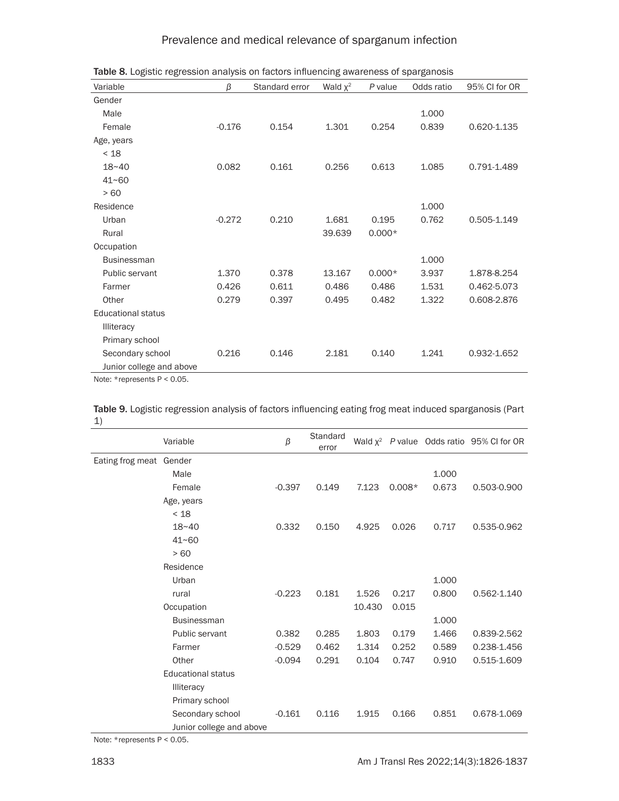# Prevalence and medical relevance of sparganum infection

| Variable                  | β        | Standard error | Wald $\chi^2$ | P value  | Odds ratio | 95% CI for OR |
|---------------------------|----------|----------------|---------------|----------|------------|---------------|
| Gender                    |          |                |               |          |            |               |
| Male                      |          |                |               |          | 1.000      |               |
| Female                    | $-0.176$ | 0.154          | 1.301         | 0.254    | 0.839      | 0.620-1.135   |
| Age, years                |          |                |               |          |            |               |
| < 18                      |          |                |               |          |            |               |
| $18 - 40$                 | 0.082    | 0.161          | 0.256         | 0.613    | 1.085      | 0.791-1.489   |
| $41 - 60$                 |          |                |               |          |            |               |
| >60                       |          |                |               |          |            |               |
| Residence                 |          |                |               |          | 1.000      |               |
| Urban                     | $-0.272$ | 0.210          | 1.681         | 0.195    | 0.762      | 0.505-1.149   |
| Rural                     |          |                | 39.639        | $0.000*$ |            |               |
| Occupation                |          |                |               |          |            |               |
| <b>Businessman</b>        |          |                |               |          | 1.000      |               |
| Public servant            | 1.370    | 0.378          | 13.167        | $0.000*$ | 3.937      | 1.878-8.254   |
| Farmer                    | 0.426    | 0.611          | 0.486         | 0.486    | 1.531      | 0.462-5.073   |
| Other                     | 0.279    | 0.397          | 0.495         | 0.482    | 1.322      | 0.608-2.876   |
| <b>Educational status</b> |          |                |               |          |            |               |
| <b>Illiteracy</b>         |          |                |               |          |            |               |
| Primary school            |          |                |               |          |            |               |
| Secondary school          | 0.216    | 0.146          | 2.181         | 0.140    | 1.241      | 0.932-1.652   |
| Junior college and above  |          |                |               |          |            |               |

Table 8. Logistic regression analysis on factors influencing awareness of sparganosis

Note: \*represents P < 0.05.

Table 9. Logistic regression analysis of factors influencing eating frog meat induced sparganosis (Part 1)  $\overline{\phantom{0}}$ 

|                         | Variable                  | $\beta$  | Standard<br>error |        |          |       | Wald $x^2$ P value Odds ratio 95% CI for OR |
|-------------------------|---------------------------|----------|-------------------|--------|----------|-------|---------------------------------------------|
| Eating frog meat Gender |                           |          |                   |        |          |       |                                             |
|                         | Male                      |          |                   |        |          | 1.000 |                                             |
|                         | Female                    | $-0.397$ | 0.149             | 7.123  | $0.008*$ | 0.673 | 0.503-0.900                                 |
|                         | Age, years                |          |                   |        |          |       |                                             |
|                         | < 18                      |          |                   |        |          |       |                                             |
|                         | $18 - 40$                 | 0.332    | 0.150             | 4.925  | 0.026    | 0.717 | 0.535-0.962                                 |
|                         | $41 - 60$                 |          |                   |        |          |       |                                             |
|                         | >60                       |          |                   |        |          |       |                                             |
|                         | Residence                 |          |                   |        |          |       |                                             |
|                         | Urban                     |          |                   |        |          | 1.000 |                                             |
|                         | rural                     | $-0.223$ | 0.181             | 1.526  | 0.217    | 0.800 | 0.562-1.140                                 |
|                         | Occupation                |          |                   | 10.430 | 0.015    |       |                                             |
|                         | <b>Businessman</b>        |          |                   |        |          | 1.000 |                                             |
|                         | Public servant            | 0.382    | 0.285             | 1.803  | 0.179    | 1.466 | 0.839-2.562                                 |
|                         | Farmer                    | $-0.529$ | 0.462             | 1.314  | 0.252    | 0.589 | 0.238-1.456                                 |
|                         | Other                     | $-0.094$ | 0.291             | 0.104  | 0.747    | 0.910 | 0.515-1.609                                 |
|                         | <b>Educational status</b> |          |                   |        |          |       |                                             |
|                         | <b>Illiteracy</b>         |          |                   |        |          |       |                                             |
|                         | Primary school            |          |                   |        |          |       |                                             |
|                         | Secondary school          | $-0.161$ | 0.116             | 1.915  | 0.166    | 0.851 | 0.678-1.069                                 |
|                         | Junior college and above  |          |                   |        |          |       |                                             |

Note: \*represents P < 0.05.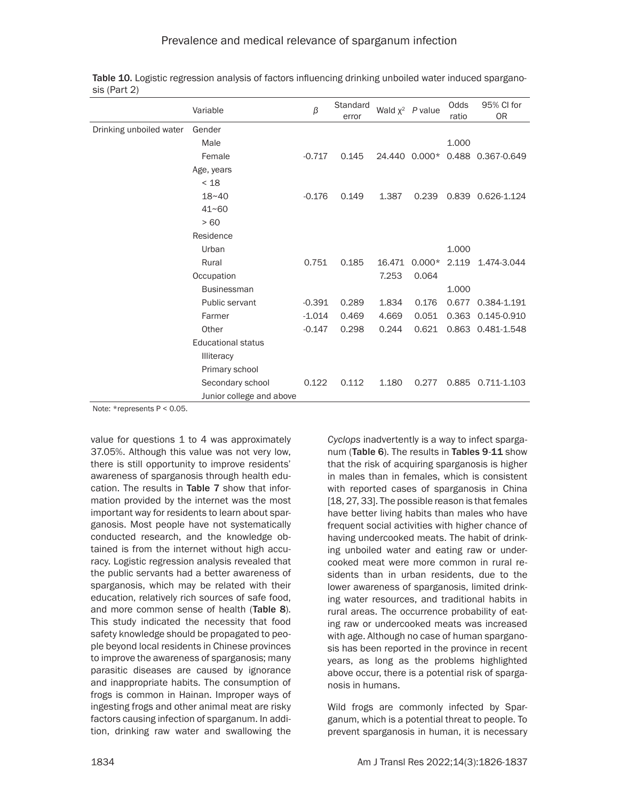|                         | Variable                  | $\beta$  | Standard<br>error |        | Wald $x^2$ P value | Odds<br>ratio | 95% CI for<br>0R  |
|-------------------------|---------------------------|----------|-------------------|--------|--------------------|---------------|-------------------|
| Drinking unboiled water | Gender                    |          |                   |        |                    |               |                   |
|                         | Male                      |          |                   |        |                    | 1.000         |                   |
|                         | Female                    | $-0.717$ | 0.145             |        | 24.440 0.000*      |               | 0.488 0.367-0.649 |
|                         | Age, years                |          |                   |        |                    |               |                   |
|                         | < 18                      |          |                   |        |                    |               |                   |
|                         | 18~40                     | $-0.176$ | 0.149             | 1.387  | 0.239              |               | 0.839 0.626-1.124 |
|                         | $41 - 60$                 |          |                   |        |                    |               |                   |
|                         | >60                       |          |                   |        |                    |               |                   |
|                         | Residence                 |          |                   |        |                    |               |                   |
|                         | Urban                     |          |                   |        |                    | 1.000         |                   |
|                         | Rural                     | 0.751    | 0.185             | 16.471 | $0.000*$           | 2.119         | 1.474-3.044       |
|                         | Occupation                |          |                   | 7.253  | 0.064              |               |                   |
|                         | <b>Businessman</b>        |          |                   |        |                    | 1.000         |                   |
|                         | Public servant            | $-0.391$ | 0.289             | 1.834  | 0.176              | 0.677         | 0.384-1.191       |
|                         | Farmer                    | $-1.014$ | 0.469             | 4.669  | 0.051              |               | 0.363 0.145-0.910 |
|                         | Other                     | $-0.147$ | 0.298             | 0.244  | 0.621              |               | 0.863 0.481-1.548 |
|                         | <b>Educational status</b> |          |                   |        |                    |               |                   |
|                         | <b>Illiteracy</b>         |          |                   |        |                    |               |                   |
|                         | Primary school            |          |                   |        |                    |               |                   |
|                         | Secondary school          | 0.122    | 0.112             | 1.180  | 0.277              | 0.885         | 0.711-1.103       |
|                         | Junior college and above  |          |                   |        |                    |               |                   |

Table 10. Logistic regression analysis of factors influencing drinking unboiled water induced sparganosis (Part 2)

Note: \*represents P < 0.05.

value for questions 1 to 4 was approximately 37.05%. Although this value was not very low, there is still opportunity to improve residents' awareness of sparganosis through health education. The results in Table 7 show that information provided by the internet was the most important way for residents to learn about sparganosis. Most people have not systematically conducted research, and the knowledge obtained is from the internet without high accuracy. Logistic regression analysis revealed that the public servants had a better awareness of sparganosis, which may be related with their education, relatively rich sources of safe food, and more common sense of health (Table 8). This study indicated the necessity that food safety knowledge should be propagated to people beyond local residents in Chinese provinces to improve the awareness of sparganosis; many parasitic diseases are caused by ignorance and inappropriate habits. The consumption of frogs is common in Hainan. Improper ways of ingesting frogs and other animal meat are risky factors causing infection of sparganum. In addition, drinking raw water and swallowing the

*Cyclops* inadvertently is a way to infect sparganum (Table 6). The results in Tables 9-11 show that the risk of acquiring sparganosis is higher in males than in females, which is consistent with reported cases of sparganosis in China [18, 27, 33]. The possible reason is that females have better living habits than males who have frequent social activities with higher chance of having undercooked meats. The habit of drinking unboiled water and eating raw or undercooked meat were more common in rural residents than in urban residents, due to the lower awareness of sparganosis, limited drinking water resources, and traditional habits in rural areas. The occurrence probability of eating raw or undercooked meats was increased with age. Although no case of human sparganosis has been reported in the province in recent years, as long as the problems highlighted above occur, there is a potential risk of sparganosis in humans.

Wild frogs are commonly infected by Sparganum, which is a potential threat to people. To prevent sparganosis in human, it is necessary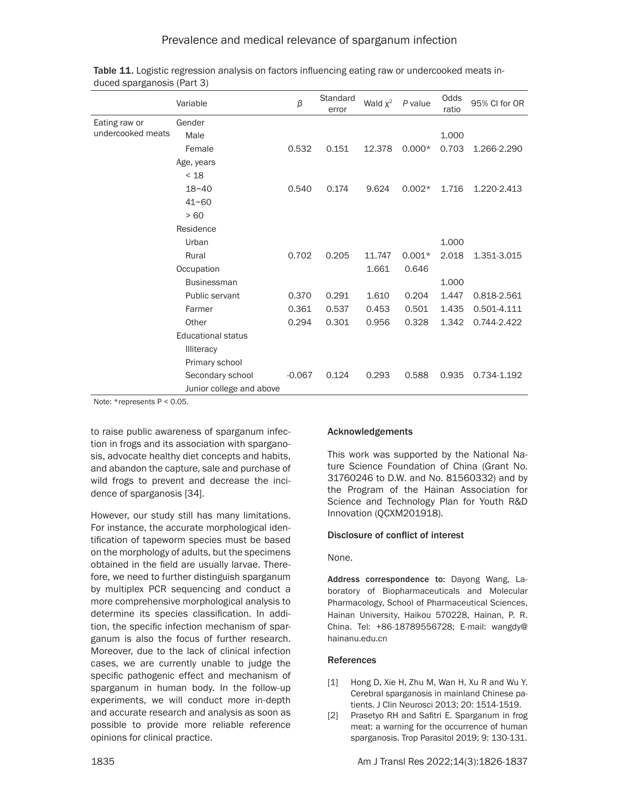|                   | Variable                  | $\beta$  | Standard<br>error | Wald $\chi^2$ | P value  | Odds<br>ratio | 95% CI for OR |
|-------------------|---------------------------|----------|-------------------|---------------|----------|---------------|---------------|
| Eating raw or     | Gender                    |          |                   |               |          |               |               |
| undercooked meats | Male                      |          |                   |               |          | 1.000         |               |
|                   | Female                    | 0.532    | 0.151             | 12.378        | $0.000*$ | 0.703         | 1.266-2.290   |
|                   | Age, years                |          |                   |               |          |               |               |
|                   | < 18                      |          |                   |               |          |               |               |
|                   | $18 - 40$                 | 0.540    | 0.174             | 9.624         | $0.002*$ | 1.716         | 1.220-2.413   |
|                   | $41 - 60$                 |          |                   |               |          |               |               |
|                   | > 60                      |          |                   |               |          |               |               |
|                   | Residence                 |          |                   |               |          |               |               |
|                   | Urban                     |          |                   |               |          | 1.000         |               |
|                   | Rural                     | 0.702    | 0.205             | 11.747        | $0.001*$ | 2.018         | 1.351-3.015   |
|                   | Occupation                |          |                   | 1.661         | 0.646    |               |               |
|                   | <b>Businessman</b>        |          |                   |               |          | 1.000         |               |
|                   | Public servant            | 0.370    | 0.291             | 1.610         | 0.204    | 1.447         | 0.818-2.561   |
|                   | Farmer                    | 0.361    | 0.537             | 0.453         | 0.501    | 1.435         | 0.501-4.111   |
|                   | Other                     | 0.294    | 0.301             | 0.956         | 0.328    | 1.342         | 0.744-2.422   |
|                   | <b>Educational status</b> |          |                   |               |          |               |               |
|                   | <b>Illiteracy</b>         |          |                   |               |          |               |               |
|                   | Primary school            |          |                   |               |          |               |               |
|                   | Secondary school          | $-0.067$ | 0.124             | 0.293         | 0.588    | 0.935         | 0.734-1.192   |
|                   | Junior college and above  |          |                   |               |          |               |               |

| Table 11. Logistic regression analysis on factors influencing eating raw or undercooked meats in- |  |
|---------------------------------------------------------------------------------------------------|--|
| duced sparganosis (Part 3)                                                                        |  |

Note: \*represents P < 0.05.

to raise public awareness of sparganum infection in frogs and its association with sparganosis, advocate healthy diet concepts and habits, and abandon the capture, sale and purchase of wild frogs to prevent and decrease the incidence of sparganosis [34].

However, our study still has many limitations. For instance, the accurate morphological identification of tapeworm species must be based on the morphology of adults, but the specimens obtained in the field are usually larvae. Therefore, we need to further distinguish sparganum by multiplex PCR sequencing and conduct a more comprehensive morphological analysis to determine its species classification. In addition, the specific infection mechanism of sparganum is also the focus of further research. Moreover, due to the lack of clinical infection cases, we are currently unable to judge the specific pathogenic effect and mechanism of sparganum in human body. In the follow-up experiments, we will conduct more in-depth and accurate research and analysis as soon as possible to provide more reliable reference opinions for clinical practice.

# Acknowledgements

This work was supported by the National Nature Science Foundation of China (Grant No. 31760246 to D.W. and No. 81560332) and by the Program of the Hainan Association for Science and Technology Plan for Youth R&D Innovation (QCXM201918).

# Disclosure of conflict of interest

None.

Address correspondence to: Dayong Wang, Laboratory of Biopharmaceuticals and Molecular Pharmacology, School of Pharmaceutical Sciences, Hainan University, Haikou 570228, Hainan, P. R. China. Tel: +86-18789556728; E-mail: [wangdy@](mailto:wangdy@hainanu.edu.cn) [hainanu.edu.cn](mailto:wangdy@hainanu.edu.cn)

# References

- [1] Hong D, Xie H, Zhu M, Wan H, Xu R and Wu Y. Cerebral sparganosis in mainland Chinese patients. J Clin Neurosci 2013; 20: 1514-1519.
- [2] Prasetyo RH and Safitri E. Sparganum in frog meat: a warning for the occurrence of human sparganosis. Trop Parasitol 2019; 9: 130-131.

1835 Am J Transl Res 2022;14(3):1826-1837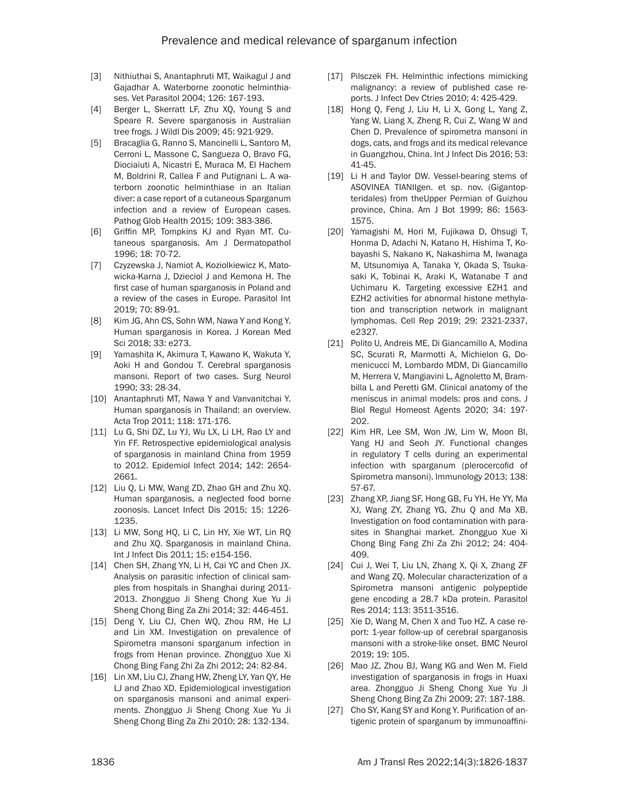- [3] Nithiuthai S, Anantaphruti MT, Waikagul J and Gajadhar A. Waterborne zoonotic helminthiases. Vet Parasitol 2004; 126: 167-193.
- [4] Berger L, Skerratt LF, Zhu XQ, Young S and Speare R. Severe sparganosis in Australian tree frogs. J Wildl Dis 2009; 45: 921-929.
- [5] Bracaglia G, Ranno S, Mancinelli L, Santoro M, Cerroni L, Massone C, Sangueza O, Bravo FG, Diociaiuti A, Nicastri E, Muraca M, El Hachem M, Boldrini R, Callea F and Putignani L. A waterborn zoonotic helminthiase in an Italian diver: a case report of a cutaneous Sparganum infection and a review of European cases. Pathog Glob Health 2015; 109: 383-386.
- [6] Griffin MP, Tompkins KJ and Ryan MT. Cutaneous sparganosis. Am J Dermatopathol 1996; 18: 70-72.
- [7] Czyzewska J, Namiot A, Koziolkiewicz K, Matowicka-Karna J, Dzieciol J and Kemona H. The first case of human sparganosis in Poland and a review of the cases in Europe. Parasitol Int 2019; 70: 89-91.
- [8] Kim JG, Ahn CS, Sohn WM, Nawa Y and Kong Y. Human sparganosis in Korea. J Korean Med Sci 2018; 33: e273.
- [9] Yamashita K, Akimura T, Kawano K, Wakuta Y, Aoki H and Gondou T. Cerebral sparganosis mansoni. Report of two cases. Surg Neurol 1990; 33: 28-34.
- [10] Anantaphruti MT, Nawa Y and Vanvanitchai Y. Human sparganosis in Thailand: an overview. Acta Trop 2011; 118: 171-176.
- [11] Lu G, Shi DZ, Lu YJ, Wu LX, Li LH, Rao LY and Yin FF. Retrospective epidemiological analysis of sparganosis in mainland China from 1959 to 2012. Epidemiol Infect 2014; 142: 2654- 2661.
- [12] Liu Q, Li MW, Wang ZD, Zhao GH and Zhu XQ. Human sparganosis, a neglected food borne zoonosis. Lancet Infect Dis 2015; 15: 1226- 1235.
- [13] Li MW, Song HQ, Li C, Lin HY, Xie WT, Lin RQ and Zhu XQ. Sparganosis in mainland China. Int J Infect Dis 2011; 15: e154-156.
- [14] Chen SH, Zhang YN, Li H, Cai YC and Chen JX. Analysis on parasitic infection of clinical samples from hospitals in Shanghai during 2011- 2013. Zhongguo Ji Sheng Chong Xue Yu Ji Sheng Chong Bing Za Zhi 2014; 32: 446-451.
- [15] Deng Y, Liu CJ, Chen WQ, Zhou RM, He LJ and Lin XM. Investigation on prevalence of Spirometra mansoni sparganum infection in frogs from Henan province. Zhongguo Xue Xi Chong Bing Fang Zhi Za Zhi 2012; 24: 82-84.
- [16] Lin XM, Liu CJ, Zhang HW, Zheng LY, Yan QY, He LJ and Zhao XD. Epidemiological investigation on sparganosis mansoni and animal experiments. Zhongguo Ji Sheng Chong Xue Yu Ji Sheng Chong Bing Za Zhi 2010; 28: 132-134.
- [17] Pilsczek FH. Helminthic infections mimicking malignancy: a review of published case reports. J Infect Dev Ctries 2010; 4: 425-429.
- [18] Hong Q, Feng J, Liu H, Li X, Gong L, Yang Z, Yang W, Liang X, Zheng R, Cui Z, Wang W and Chen D. Prevalence of spirometra mansoni in dogs, cats, and frogs and its medical relevance in Guangzhou, China. Int J Infect Dis 2016; 53: 41-45.
- [19] Li H and Taylor DW. Vessel-bearing stems of ASOVINEA TIANIIgen. et sp. nov. (Gigantopteridales) from theUpper Permian of Guizhou province, China. Am J Bot 1999; 86: 1563- 1575.
- [20] Yamagishi M, Hori M, Fujikawa D, Ohsugi T, Honma D, Adachi N, Katano H, Hishima T, Kobayashi S, Nakano K, Nakashima M, Iwanaga M, Utsunomiya A, Tanaka Y, Okada S, Tsukasaki K, Tobinai K, Araki K, Watanabe T and Uchimaru K. Targeting excessive EZH1 and EZH2 activities for abnormal histone methylation and transcription network in malignant lymphomas. Cell Rep 2019; 29: 2321-2337, e2327.
- [21] Polito U, Andreis ME, Di Giancamillo A, Modina SC, Scurati R, Marmotti A, Michielon G, Domenicucci M, Lombardo MDM, Di Giancamillo M, Herrera V, Mangiavini L, Agnoletto M, Brambilla L and Peretti GM. Clinical anatomy of the meniscus in animal models: pros and cons. J Biol Regul Homeost Agents 2020; 34: 197- 202.
- [22] Kim HR, Lee SM, Won JW, Lim W, Moon Bl, Yang HJ and Seoh JY. Functional changes in regulatory T cells during an experimental infection with sparganum (plerocercofid of Spirometra mansoni). Immunology 2013; 138: 57-67.
- [23] Zhang XP, Jiang SF, Hong GB, Fu YH, He YY, Ma XJ, Wang ZY, Zhang YG, Zhu Q and Ma XB. Investigation on food contamination with parasites in Shanghai market. Zhongguo Xue Xi Chong Bing Fang Zhi Za Zhi 2012; 24: 404- 409.
- [24] Cui J, Wei T, Liu LN, Zhang X, Qi X, Zhang ZF and Wang ZQ. Molecular characterization of a Spirometra mansoni antigenic polypeptide gene encoding a 28.7 kDa protein. Parasitol Res 2014; 113: 3511-3516.
- [25] Xie D, Wang M, Chen X and Tuo HZ. A case report: 1-year follow-up of cerebral sparganosis mansoni with a stroke-like onset. BMC Neurol 2019; 19: 105.
- [26] Mao JZ, Zhou BJ, Wang KG and Wen M. Field investigation of sparganosis in frogs in Huaxi area. Zhongguo Ji Sheng Chong Xue Yu Ji Sheng Chong Bing Za Zhi 2009; 27: 187-188.
- [27] Cho SY, Kang SY and Kong Y. Purification of antigenic protein of sparganum by immunoaffini-